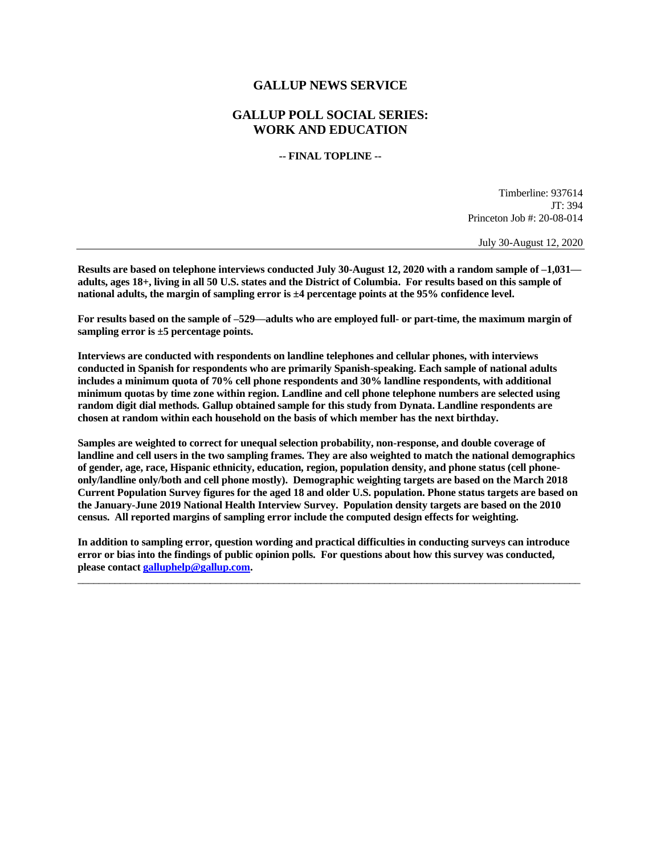# **GALLUP NEWS SERVICE**

# **GALLUP POLL SOCIAL SERIES: WORK AND EDUCATION**

**-- FINAL TOPLINE --**

Timberline: 937614 JT: 394 Princeton Job #: 20-08-014

July 30-August 12, 2020

**Results are based on telephone interviews conducted July 30-August 12, 2020 with a random sample of –1,031 adults, ages 18+, living in all 50 U.S. states and the District of Columbia. For results based on this sample of national adults, the margin of sampling error is ±4 percentage points at the 95% confidence level.** 

**For results based on the sample of –529—adults who are employed full- or part-time, the maximum margin of sampling error is ±5 percentage points.**

**Interviews are conducted with respondents on landline telephones and cellular phones, with interviews conducted in Spanish for respondents who are primarily Spanish-speaking. Each sample of national adults includes a minimum quota of 70% cell phone respondents and 30% landline respondents, with additional minimum quotas by time zone within region. Landline and cell phone telephone numbers are selected using random digit dial methods. Gallup obtained sample for this study from Dynata. Landline respondents are chosen at random within each household on the basis of which member has the next birthday.**

**Samples are weighted to correct for unequal selection probability, non-response, and double coverage of landline and cell users in the two sampling frames. They are also weighted to match the national demographics of gender, age, race, Hispanic ethnicity, education, region, population density, and phone status (cell phoneonly/landline only/both and cell phone mostly). Demographic weighting targets are based on the March 2018 Current Population Survey figures for the aged 18 and older U.S. population. Phone status targets are based on the January-June 2019 National Health Interview Survey. Population density targets are based on the 2010 census. All reported margins of sampling error include the computed design effects for weighting.** 

**In addition to sampling error, question wording and practical difficulties in conducting surveys can introduce error or bias into the findings of public opinion polls. For questions about how this survey was conducted, please contac[t galluphelp@gallup.com.](mailto:galluphelp@gallup.com)**

 $\overline{\phantom{a}}$  ,  $\overline{\phantom{a}}$  ,  $\overline{\phantom{a}}$  ,  $\overline{\phantom{a}}$  ,  $\overline{\phantom{a}}$  ,  $\overline{\phantom{a}}$  ,  $\overline{\phantom{a}}$  ,  $\overline{\phantom{a}}$  ,  $\overline{\phantom{a}}$  ,  $\overline{\phantom{a}}$  ,  $\overline{\phantom{a}}$  ,  $\overline{\phantom{a}}$  ,  $\overline{\phantom{a}}$  ,  $\overline{\phantom{a}}$  ,  $\overline{\phantom{a}}$  ,  $\overline{\phantom{a}}$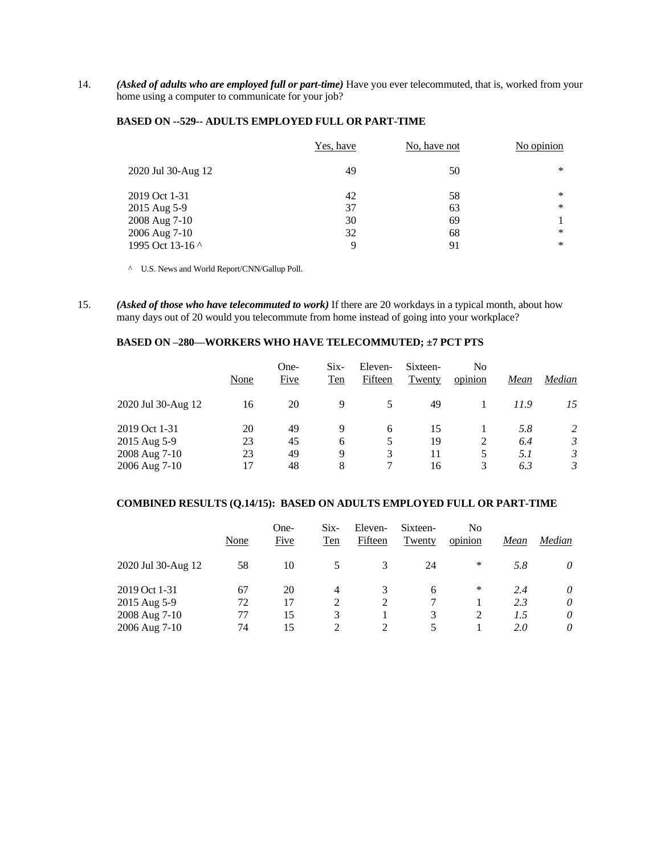14. *(Asked of adults who are employed full or part-time)* Have you ever telecommuted, that is, worked from your home using a computer to communicate for your job?

#### **BASED ON --529-- ADULTS EMPLOYED FULL OR PART-TIME**

|                    | Yes, have | No, have not | No opinion |
|--------------------|-----------|--------------|------------|
| 2020 Jul 30-Aug 12 | 49        | 50           | $*$        |
| 2019 Oct 1-31      | 42        | 58           | ∗          |
| 2015 Aug 5-9       | 37        | 63           | $\ast$     |
| 2008 Aug 7-10      | 30        | 69           |            |
| 2006 Aug 7-10      | 32        | 68           | $\ast$     |
| 1995 Oct 13-16 ^   | 9         | 91           | $\ast$     |

^ U.S. News and World Report/CNN/Gallup Poll.

15. *(Asked of those who have telecommuted to work)* If there are 20 workdays in a typical month, about how many days out of 20 would you telecommute from home instead of going into your workplace?

# **BASED ON –280—WORKERS WHO HAVE TELECOMMUTED; ±7 PCT PTS**

|                                                | None           | One-<br>Five   | $Six-$<br><b>Ten</b> | Eleven-<br>Fifteen | Sixteen-<br>Twenty | No<br>opinion | Mean              | Median                                |
|------------------------------------------------|----------------|----------------|----------------------|--------------------|--------------------|---------------|-------------------|---------------------------------------|
| 2020 Jul 30-Aug 12                             | 16             | 20             | 9                    | 5                  | 49                 |               | 11.9              | 15                                    |
| 2019 Oct 1-31<br>2015 Aug 5-9<br>2008 Aug 7-10 | 20<br>23<br>23 | 49<br>45<br>49 | 9<br>6<br>9          | 6<br>5<br>3        | 15<br>19<br>11     | 2<br>5.       | 5.8<br>6.4<br>5.1 | 2<br>$\mathfrak{Z}$<br>$\mathfrak{Z}$ |
| 2006 Aug 7-10                                  | 17             | 48             | 8                    |                    | 16                 |               | 6.3               | 3                                     |

# **COMBINED RESULTS (Q.14/15): BASED ON ADULTS EMPLOYED FULL OR PART-TIME**

|                    | None | One-<br>Five | $Six-$<br><b>Ten</b>        | Eleven-<br>Fifteen | Sixteen-<br>Twenty | No<br>opinion | Mean | Median |
|--------------------|------|--------------|-----------------------------|--------------------|--------------------|---------------|------|--------|
| 2020 Jul 30-Aug 12 | 58   | 10           |                             | 3                  | 24                 | ∗             | 5.8  | 0      |
| 2019 Oct 1-31      | 67   | 20           | 4                           | 3                  | 6                  | ∗             | 2.4  | 0      |
| 2015 Aug 5-9       | 72   | 17           | 2                           | 2                  |                    |               | 2.3  | 0      |
| 2008 Aug 7-10      | 77   | 15           | 3                           |                    | 3                  |               | 1.5  | 0      |
| 2006 Aug 7-10      | 74   | 15           | $\mathcal{D}_{\mathcal{L}}$ | $\mathcal{D}$      |                    |               | 2.0  | 0      |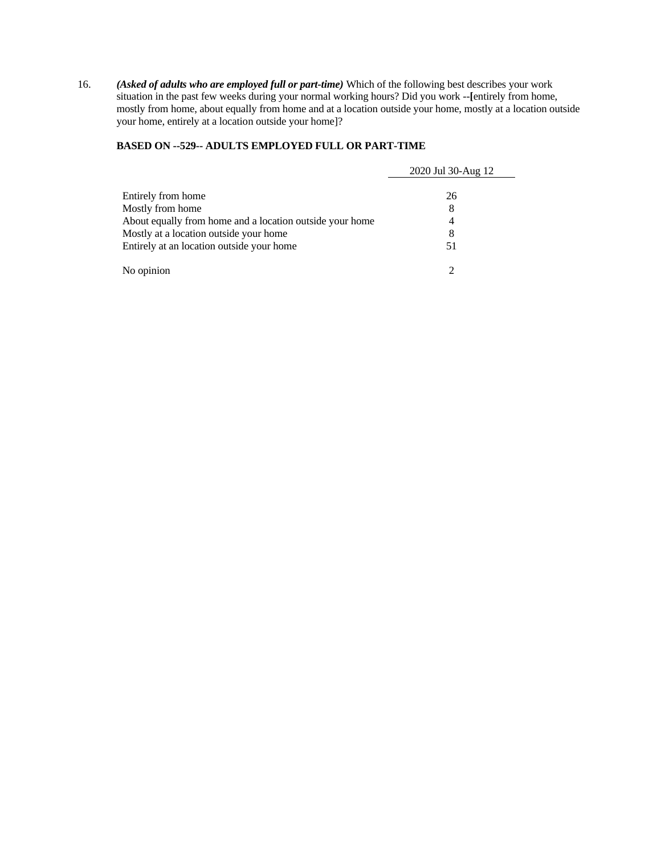16. *(Asked of adults who are employed full or part-time)* Which of the following best describes your work situation in the past few weeks during your normal working hours? Did you work --**[**entirely from home, mostly from home, about equally from home and at a location outside your home, mostly at a location outside your home, entirely at a location outside your home]?

### **BASED ON --529-- ADULTS EMPLOYED FULL OR PART-TIME**

|                                                          | 2020 Jul 30-Aug 12 |
|----------------------------------------------------------|--------------------|
| Entirely from home                                       | 26                 |
| Mostly from home                                         | 8                  |
| About equally from home and a location outside your home | 4                  |
| Mostly at a location outside your home                   | 8                  |
| Entirely at an location outside your home                | 51                 |
| No opinion                                               |                    |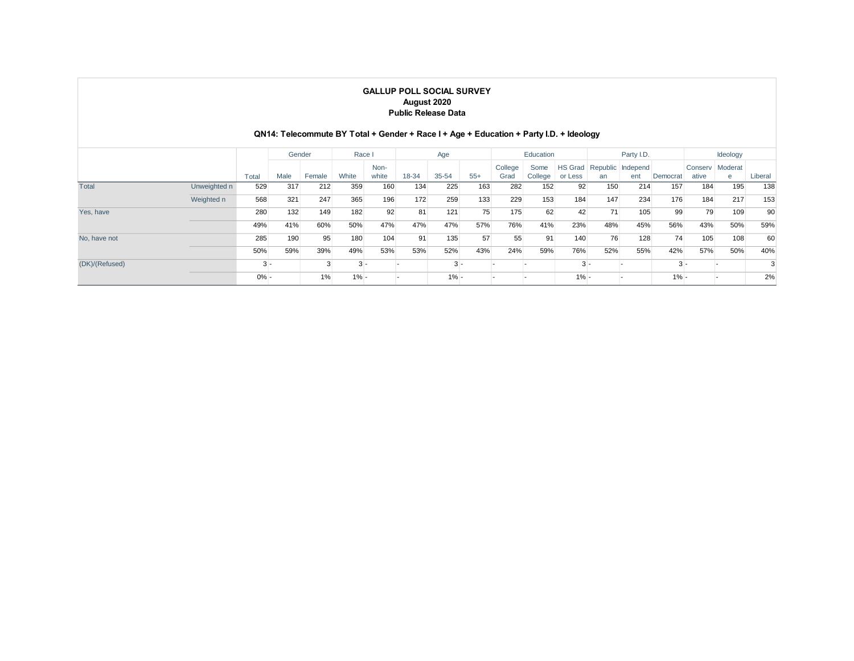|                | <b>GALLUP POLL SOCIAL SURVEY</b><br>August 2020<br><b>Public Release Data</b><br>QN14: Telecommute BY Total + Gender + Race I + Age + Education + Party I.D. + Ideology |         |        |        |         |               |       |         |       |                 |                 |         |     |                                  |          |                  |              |         |
|----------------|-------------------------------------------------------------------------------------------------------------------------------------------------------------------------|---------|--------|--------|---------|---------------|-------|---------|-------|-----------------|-----------------|---------|-----|----------------------------------|----------|------------------|--------------|---------|
|                |                                                                                                                                                                         |         | Gender |        | Race I  |               |       | Age     |       |                 | Education       |         |     | Party I.D.                       |          |                  | Ideology     |         |
|                |                                                                                                                                                                         | Total   | Male   | Female | White   | Non-<br>white | 18-34 | 35-54   | $55+$ | College<br>Grad | Some<br>College | or Less | an  | HS Grad Republic Independ<br>ent | Democrat | Conserv<br>ative | Moderat<br>e | Liberal |
| Total          | Unweighted n                                                                                                                                                            | 529     | 317    | 212    | 359     | 160           | 134   | 225     | 163   | 282             | 152             | 92      | 150 | 214                              | 157      | 184              | 195          | 138     |
|                | Weighted n                                                                                                                                                              | 568     | 321    | 247    | 365     | 196           | 172   | 259     | 133   | 229             | 153             | 184     | 147 | 234                              | 176      | 184              | 217          | 153     |
| Yes, have      |                                                                                                                                                                         | 280     | 132    | 149    | 182     | 92            | 81    | 121     | 75    | 175             | 62              | 42      | 71  | 105                              | 99       | 79               | 109          | 90      |
|                |                                                                                                                                                                         | 49%     | 41%    | 60%    | 50%     | 47%           | 47%   | 47%     | 57%   | 76%             | 41%             | 23%     | 48% | 45%                              | 56%      | 43%              | 50%          | 59%     |
| No, have not   |                                                                                                                                                                         | 285     | 190    | 95     | 180     | 104           | 91    | 135     | 57    | 55              | 91              | 140     | 76  | 128                              | 74       | 105              | 108          | 60      |
|                |                                                                                                                                                                         | 50%     | 59%    | 39%    | 49%     | 53%           | 53%   | 52%     | 43%   | 24%             | 59%             | 76%     | 52% | 55%                              | 42%      | 57%              | 50%          | 40%     |
| (DK)/(Refused) |                                                                                                                                                                         | $3 -$   |        | 3      | $3 -$   |               |       | $3 -$   |       |                 |                 | $3 -$   |     |                                  | $3 -$    |                  |              | 3       |
|                |                                                                                                                                                                         | $0\% -$ |        | 1%     | $1\% -$ |               |       | $1\% -$ |       |                 |                 | $1\% -$ |     |                                  | $1% -$   |                  |              | 2%      |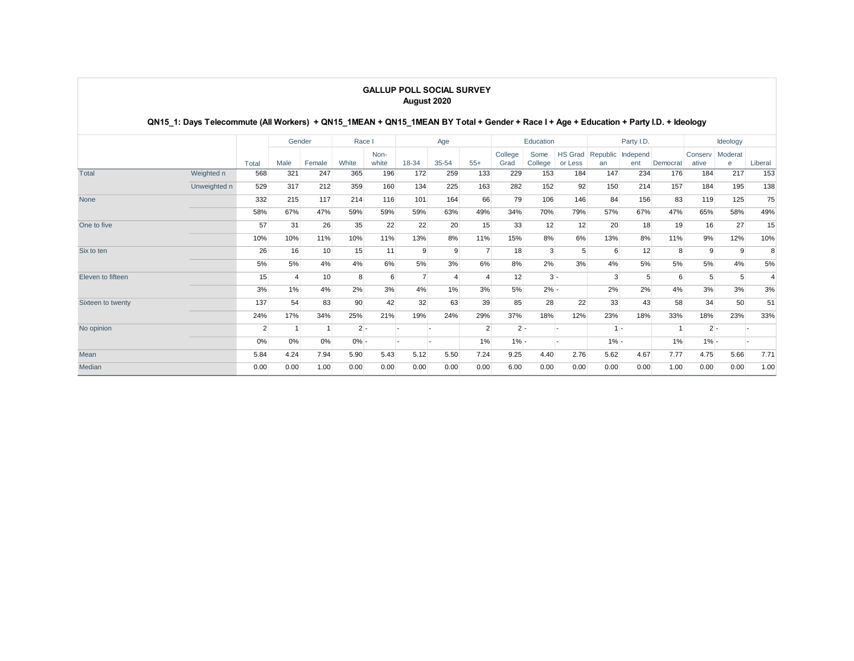#### **GALLUP POLL SOCIAL SURVEY August 2020**

### **QN15\_1: Days Telecommute (All Workers) + QN15\_1MEAN + QN15\_1MEAN BY Total + Gender + Race I + Age + Education + Party I.D. + Ideology**

|                   |              |       | Gender |        | Race I  |               | Age            |                |                | Education       |                 |                    |                | Party I.D.      |          | Ideology         |              |         |
|-------------------|--------------|-------|--------|--------|---------|---------------|----------------|----------------|----------------|-----------------|-----------------|--------------------|----------------|-----------------|----------|------------------|--------------|---------|
|                   |              | Total | Male   | Female | White   | Non-<br>white | 18-34          | 35-54          | $55+$          | College<br>Grad | Some<br>College | HS Grad<br>or Less | Republic<br>an | Independ<br>ent | Democrat | Conserv<br>ative | Moderat<br>e | Liberal |
| Total             | Weighted n   | 568   | 321    | 247    | 365     | 196           | 172            | 259            | 133            | 229             | 153             | 184                | 147            | 234             | 176      | 184              | 217          | 153     |
|                   | Unweighted n | 529   | 317    | 212    | 359     | 160           | 134            | 225            | 163            | 282             | 152             | 92                 | 150            | 214             | 157      | 184              | 195          | 138     |
| None              |              | 332   | 215    | 117    | 214     | 116           | 101            | 164            | 66             | 79              | 106             | 146                | 84             | 156             | 83       | 119              | 125          | 75      |
|                   |              | 58%   | 67%    | 47%    | 59%     | 59%           | 59%            | 63%            | 49%            | 34%             | 70%             | 79%                | 57%            | 67%             | 47%      | 65%              | 58%          | 49%     |
| One to five       |              | 57    | 31     | 26     | 35      | 22            | 22             | 20             | 15             | 33              | 12              | 12                 | 20             | 18              | 19       | 16               | 27           | 15      |
|                   |              | 10%   | 10%    | 11%    | 10%     | 11%           | 13%            | 8%             | 11%            | 15%             | 8%              | 6%                 | 13%            | 8%              | 11%      | 9%               | 12%          | 10%     |
| Six to ten        |              | 26    | 16     | 10     | 15      | 11            | 9              | 9              |                | 18              | 3               | 5                  | 6              | 12              | 8        | 9                | 9            | 8       |
|                   |              | 5%    | 5%     | 4%     | 4%      | 6%            | 5%             | 3%             | 6%             | 8%              | 2%              | 3%                 | 4%             | 5%              | 5%       | 5%               | 4%           | 5%      |
| Eleven to fifteen |              | 15    |        | 10     | 8       | 6             | $\overline{7}$ | $\overline{4}$ |                | 12              | $3 -$           |                    | 3              | 5               | 6        | 5                | 5            | 4       |
|                   |              | 3%    | 1%     | 4%     | 2%      | 3%            | 4%             | 1%             | 3%             | 5%              | $2% -$          |                    | 2%             | 2%              | 4%       | 3%               | 3%           | 3%      |
| Sixteen to twenty |              | 137   | 54     | 83     | 90      | 42            | 32             | 63             | 39             | 85              | 28              | 22                 | 33             | 43              | 58       | 34               | 50           | 51      |
|                   |              | 24%   | 17%    | 34%    | 25%     | 21%           | 19%            | 24%            | 29%            | 37%             | 18%             | 12%                | 23%            | 18%             | 33%      | 18%              | 23%          | 33%     |
| No opinion        |              | 2     |        | -1     | $2 -$   |               |                |                | $\overline{2}$ | $2 -$           |                 |                    | $1 -$          |                 |          | $2 -$            |              |         |
|                   |              | 0%    | 0%     | 0%     | $0\%$ - |               |                |                | 1%             | $1% -$          |                 |                    | $1\% -$        |                 | 1%       | $1\% -$          |              |         |
| Mean              |              | 5.84  | 4.24   | 7.94   | 5.90    | 5.43          | 5.12           | 5.50           | 7.24           | 9.25            | 4.40            | 2.76               | 5.62           | 4.67            | 7.77     | 4.75             | 5.66         | 7.71    |
| Median            |              | 0.00  | 0.00   | 1.00   | 0.00    | 0.00          | 0.00           | 0.00           | 0.00           | 6.00            | 0.00            | 0.00               | 0.00           | 0.00            | 1.00     | 0.00             | 0.00         | 1.00    |